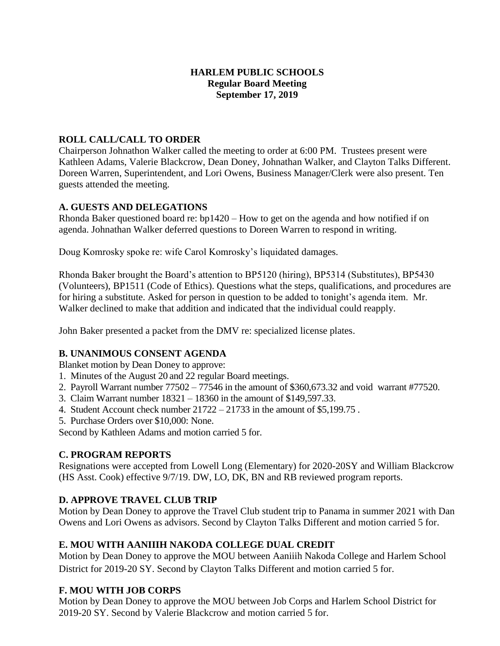## **HARLEM PUBLIC SCHOOLS Regular Board Meeting September 17, 2019**

## **ROLL CALL/CALL TO ORDER**

Chairperson Johnathon Walker called the meeting to order at 6:00 PM. Trustees present were Kathleen Adams, Valerie Blackcrow, Dean Doney, Johnathan Walker, and Clayton Talks Different. Doreen Warren, Superintendent, and Lori Owens, Business Manager/Clerk were also present. Ten guests attended the meeting.

## **A. GUESTS AND DELEGATIONS**

Rhonda Baker questioned board re: bp1420 – How to get on the agenda and how notified if on agenda. Johnathan Walker deferred questions to Doreen Warren to respond in writing.

Doug Komrosky spoke re: wife Carol Komrosky's liquidated damages.

Rhonda Baker brought the Board's attention to BP5120 (hiring), BP5314 (Substitutes), BP5430 (Volunteers), BP1511 (Code of Ethics). Questions what the steps, qualifications, and procedures are for hiring a substitute. Asked for person in question to be added to tonight's agenda item. Mr. Walker declined to make that addition and indicated that the individual could reapply.

John Baker presented a packet from the DMV re: specialized license plates.

# **B. UNANIMOUS CONSENT AGENDA**

Blanket motion by Dean Doney to approve:

- 1. Minutes of the August 20 and 22 regular Board meetings.
- 2. Payroll Warrant number 77502 77546 in the amount of \$360,673.32 and void warrant #77520.
- 3. Claim Warrant number 18321 18360 in the amount of \$149,597.33.
- 4. Student Account check number 21722 21733 in the amount of \$5,199.75 .
- 5. Purchase Orders over \$10,000: None.

Second by Kathleen Adams and motion carried 5 for.

## **C. PROGRAM REPORTS**

Resignations were accepted from Lowell Long (Elementary) for 2020-20SY and William Blackcrow (HS Asst. Cook) effective 9/7/19. DW, LO, DK, BN and RB reviewed program reports.

# **D. APPROVE TRAVEL CLUB TRIP**

Motion by Dean Doney to approve the Travel Club student trip to Panama in summer 2021 with Dan Owens and Lori Owens as advisors. Second by Clayton Talks Different and motion carried 5 for.

## **E. MOU WITH AANIIIH NAKODA COLLEGE DUAL CREDIT**

Motion by Dean Doney to approve the MOU between Aaniiih Nakoda College and Harlem School District for 2019-20 SY. Second by Clayton Talks Different and motion carried 5 for.

# **F. MOU WITH JOB CORPS**

Motion by Dean Doney to approve the MOU between Job Corps and Harlem School District for 2019-20 SY. Second by Valerie Blackcrow and motion carried 5 for.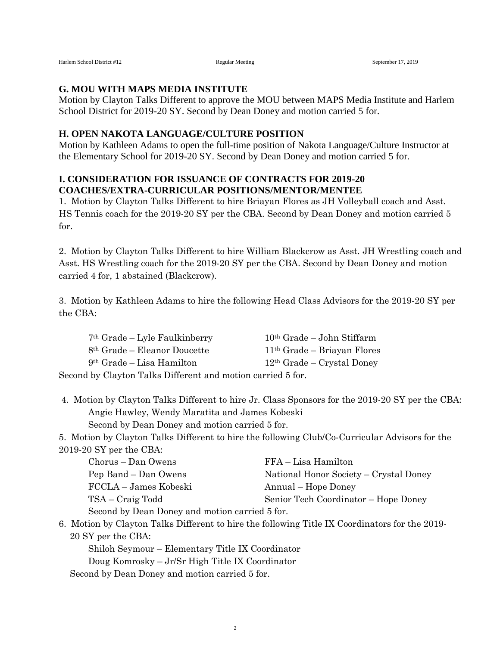#### **G. MOU WITH MAPS MEDIA INSTITUTE**

Motion by Clayton Talks Different to approve the MOU between MAPS Media Institute and Harlem School District for 2019-20 SY. Second by Dean Doney and motion carried 5 for.

#### **H. OPEN NAKOTA LANGUAGE/CULTURE POSITION**

Motion by Kathleen Adams to open the full-time position of Nakota Language/Culture Instructor at the Elementary School for 2019-20 SY. Second by Dean Doney and motion carried 5 for.

### **I. CONSIDERATION FOR ISSUANCE OF CONTRACTS FOR 2019-20 COACHES/EXTRA-CURRICULAR POSITIONS/MENTOR/MENTEE**

1. Motion by Clayton Talks Different to hire Briayan Flores as JH Volleyball coach and Asst. HS Tennis coach for the 2019-20 SY per the CBA. Second by Dean Doney and motion carried 5 for.

2. Motion by Clayton Talks Different to hire William Blackcrow as Asst. JH Wrestling coach and Asst. HS Wrestling coach for the 2019-20 SY per the CBA. Second by Dean Doney and motion carried 4 for, 1 abstained (Blackcrow).

3. Motion by Kathleen Adams to hire the following Head Class Advisors for the 2019-20 SY per the CBA:

| $7th$ Grade – Lyle Faulkinberry                             | $10th$ Grade – John Stiffarm  |  |
|-------------------------------------------------------------|-------------------------------|--|
| $8th$ Grade – Eleanor Doucette                              | $11th$ Grade – Briayan Flores |  |
| $9th$ Grade – Lisa Hamilton                                 | $12th$ Grade – Crystal Doney  |  |
| Second by Clayton Talks Different and motion carried 5 for. |                               |  |

4. Motion by Clayton Talks Different to hire Jr. Class Sponsors for the 2019-20 SY per the CBA: Angie Hawley, Wendy Maratita and James Kobeski

Second by Dean Doney and motion carried 5 for.

5. Motion by Clayton Talks Different to hire the following Club/Co-Curricular Advisors for the 2019-20 SY per the CBA:

| Chorus – Dan Owens                             | FFA – Lisa Hamilton                    |  |
|------------------------------------------------|----------------------------------------|--|
| Pep Band – Dan Owens                           | National Honor Society – Crystal Doney |  |
| FCCLA – James Kobeski                          | Annual – Hope Doney                    |  |
| TSA – Craig Todd                               | Senior Tech Coordinator – Hope Doney   |  |
| Second by Dean Doney and motion carried 5 for. |                                        |  |

6. Motion by Clayton Talks Different to hire the following Title IX Coordinators for the 2019- 20 SY per the CBA:

Shiloh Seymour – Elementary Title IX Coordinator Doug Komrosky – Jr/Sr High Title IX Coordinator Second by Dean Doney and motion carried 5 for.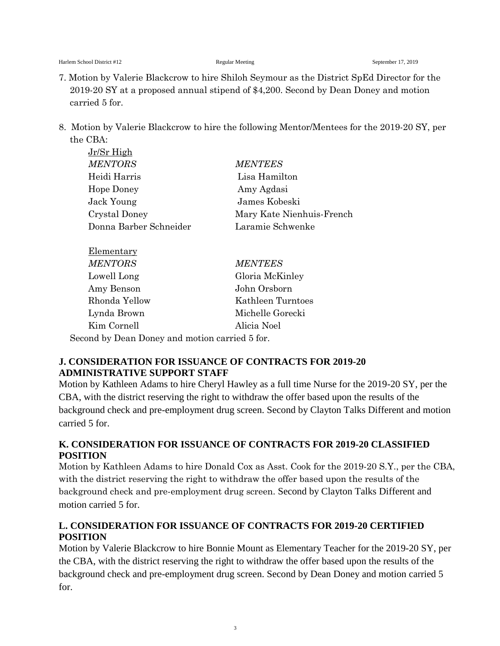- 7. Motion by Valerie Blackcrow to hire Shiloh Seymour as the District SpEd Director for the 2019-20 SY at a proposed annual stipend of \$4,200. Second by Dean Doney and motion carried 5 for.
- 8. Motion by Valerie Blackcrow to hire the following Mentor/Mentees for the 2019-20 SY, per the CBA:

| <b>MENTEES</b>            |
|---------------------------|
| Lisa Hamilton             |
| Amy Agdasi                |
| James Kobeski             |
| Mary Kate Nienhuis-French |
| Laramie Schwenke          |
|                           |
|                           |

| Elementary                                     |                   |  |
|------------------------------------------------|-------------------|--|
| <b>MENTORS</b>                                 | <b>MENTEES</b>    |  |
| Lowell Long                                    | Gloria McKinley   |  |
| Amy Benson                                     | John Orsborn      |  |
| Rhonda Yellow                                  | Kathleen Turntoes |  |
| Lynda Brown                                    | Michelle Gorecki  |  |
| Kim Cornell                                    | Alicia Noel       |  |
| Second by Dean Doney and motion carried 5 for. |                   |  |

# **J. CONSIDERATION FOR ISSUANCE OF CONTRACTS FOR 2019-20 ADMINISTRATIVE SUPPORT STAFF**

Motion by Kathleen Adams to hire Cheryl Hawley as a full time Nurse for the 2019-20 SY, per the CBA, with the district reserving the right to withdraw the offer based upon the results of the background check and pre-employment drug screen. Second by Clayton Talks Different and motion carried 5 for.

# **K. CONSIDERATION FOR ISSUANCE OF CONTRACTS FOR 2019-20 CLASSIFIED POSITION**

Motion by Kathleen Adams to hire Donald Cox as Asst. Cook for the 2019-20 S.Y., per the CBA, with the district reserving the right to withdraw the offer based upon the results of the background check and pre-employment drug screen. Second by Clayton Talks Different and motion carried 5 for.

# **L. CONSIDERATION FOR ISSUANCE OF CONTRACTS FOR 2019-20 CERTIFIED POSITION**

Motion by Valerie Blackcrow to hire Bonnie Mount as Elementary Teacher for the 2019-20 SY, per the CBA, with the district reserving the right to withdraw the offer based upon the results of the background check and pre-employment drug screen. Second by Dean Doney and motion carried 5 for.